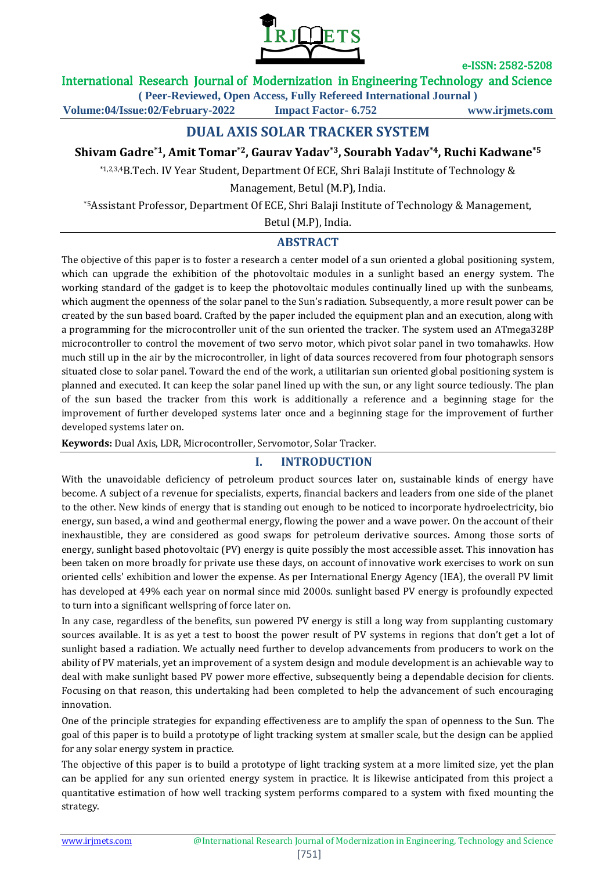

### International Research Journal of Modernization in Engineering Technology and Science

**( Peer-Reviewed, Open Access, Fully Refereed International Journal )**

**Volume:04/Issue:02/February-2022 Impact Factor- 6.752 www.irjmets.com**

# **DUAL AXIS SOLAR TRACKER SYSTEM**

## **Shivam Gadre\*1, Amit Tomar\*2, Gaurav Yadav\*3, Sourabh Yadav\*4, Ruchi Kadwane\*5**

\*1,2,3,4B.Tech. IV Year Student, Department Of ECE, Shri Balaji Institute of Technology &

Management, Betul (M.P), India.

\*5Assistant Professor, Department Of ECE, Shri Balaji Institute of Technology & Management,

Betul (M.P), India.

## **ABSTRACT**

The objective of this paper is to foster a research a center model of a sun oriented a global positioning system, which can upgrade the exhibition of the photovoltaic modules in a sunlight based an energy system. The working standard of the gadget is to keep the photovoltaic modules continually lined up with the sunbeams, which augment the openness of the solar panel to the Sun's radiation. Subsequently, a more result power can be created by the sun based board. Crafted by the paper included the equipment plan and an execution, along with a programming for the microcontroller unit of the sun oriented the tracker. The system used an ATmega328P microcontroller to control the movement of two servo motor, which pivot solar panel in two tomahawks. How much still up in the air by the microcontroller, in light of data sources recovered from four photograph sensors situated close to solar panel. Toward the end of the work, a utilitarian sun oriented global positioning system is planned and executed. It can keep the solar panel lined up with the sun, or any light source tediously. The plan of the sun based the tracker from this work is additionally a reference and a beginning stage for the improvement of further developed systems later once and a beginning stage for the improvement of further developed systems later on.

**Keywords:** Dual Axis, LDR, Microcontroller, Servomotor, Solar Tracker.

## **I. INTRODUCTION**

With the unavoidable deficiency of petroleum product sources later on, sustainable kinds of energy have become. A subject of a revenue for specialists, experts, financial backers and leaders from one side of the planet to the other. New kinds of energy that is standing out enough to be noticed to incorporate hydroelectricity, bio energy, sun based, a wind and geothermal energy, flowing the power and a wave power. On the account of their inexhaustible, they are considered as good swaps for petroleum derivative sources. Among those sorts of energy, sunlight based photovoltaic (PV) energy is quite possibly the most accessible asset. This innovation has been taken on more broadly for private use these days, on account of innovative work exercises to work on sun oriented cells' exhibition and lower the expense. As per International Energy Agency (IEA), the overall PV limit has developed at 49% each year on normal since mid 2000s. sunlight based PV energy is profoundly expected to turn into a significant wellspring of force later on.

In any case, regardless of the benefits, sun powered PV energy is still a long way from supplanting customary sources available. It is as yet a test to boost the power result of PV systems in regions that don't get a lot of sunlight based a radiation. We actually need further to develop advancements from producers to work on the ability of PV materials, yet an improvement of a system design and module development is an achievable way to deal with make sunlight based PV power more effective, subsequently being a dependable decision for clients. Focusing on that reason, this undertaking had been completed to help the advancement of such encouraging innovation.

One of the principle strategies for expanding effectiveness are to amplify the span of openness to the Sun. The goal of this paper is to build a prototype of light tracking system at smaller scale, but the design can be applied for any solar energy system in practice.

The objective of this paper is to build a prototype of light tracking system at a more limited size, yet the plan can be applied for any sun oriented energy system in practice. It is likewise anticipated from this project a quantitative estimation of how well tracking system performs compared to a system with fixed mounting the strategy.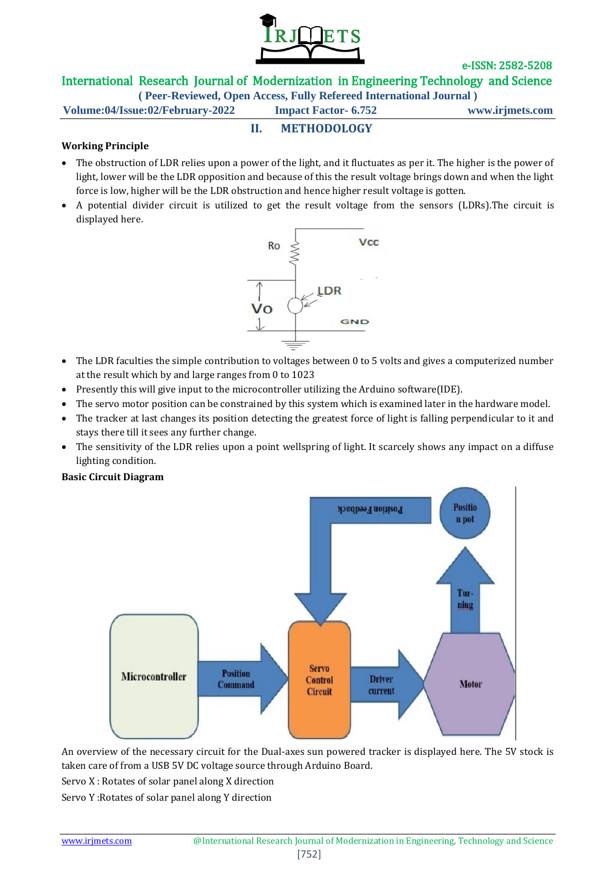

## International Research Journal of Modernization in Engineering Technology and Science

**( Peer-Reviewed, Open Access, Fully Refereed International Journal )**

**II. METHODOLOGY**

**Volume:04/Issue:02/February-2022 Impact Factor- 6.752 www.irjmets.com**

#### **Working Principle**

- The obstruction of LDR relies upon a power of the light, and it fluctuates as per it. The higher is the power of light, lower will be the LDR opposition and because of this the result voltage brings down and when the light force is low, higher will be the LDR obstruction and hence higher result voltage is gotten.
- A potential divider circuit is utilized to get the result voltage from the sensors (LDRs).The circuit is displayed here.



- The LDR faculties the simple contribution to voltages between 0 to 5 volts and gives a computerized number at the result which by and large ranges from 0 to 1023
- Presently this will give input to the microcontroller utilizing the Arduino software(IDE).
- The servo motor position can be constrained by this system which is examined later in the hardware model.
- The tracker at last changes its position detecting the greatest force of light is falling perpendicular to it and stays there till it sees any further change.
- The sensitivity of the LDR relies upon a point wellspring of light. It scarcely shows any impact on a diffuse lighting condition.

**Basic Circuit Diagram**



An overview of the necessary circuit for the Dual-axes sun powered tracker is displayed here. The 5V stock is taken care of from a USB 5V DC voltage source through Arduino Board.

Servo X : Rotates of solar panel along X direction

Servo Y :Rotates of solar panel along Y direction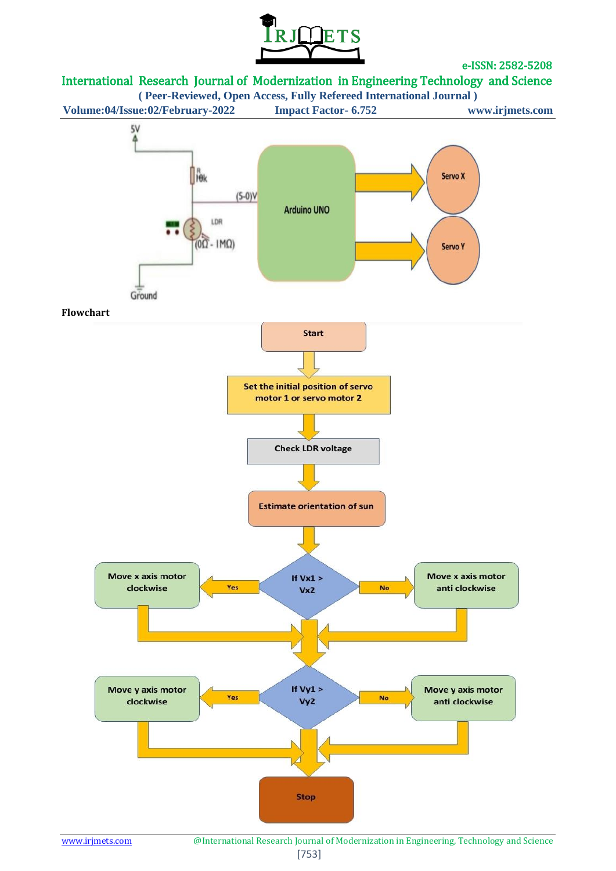



**( Peer-Reviewed, Open Access, Fully Refereed International Journal ) Volume:04/Issue:02/February-2022 Impact Factor- 6.752 www.irjmets.com**



www.irjmets.com @International Research Journal of Modernization in Engineering, Technology and Science [753]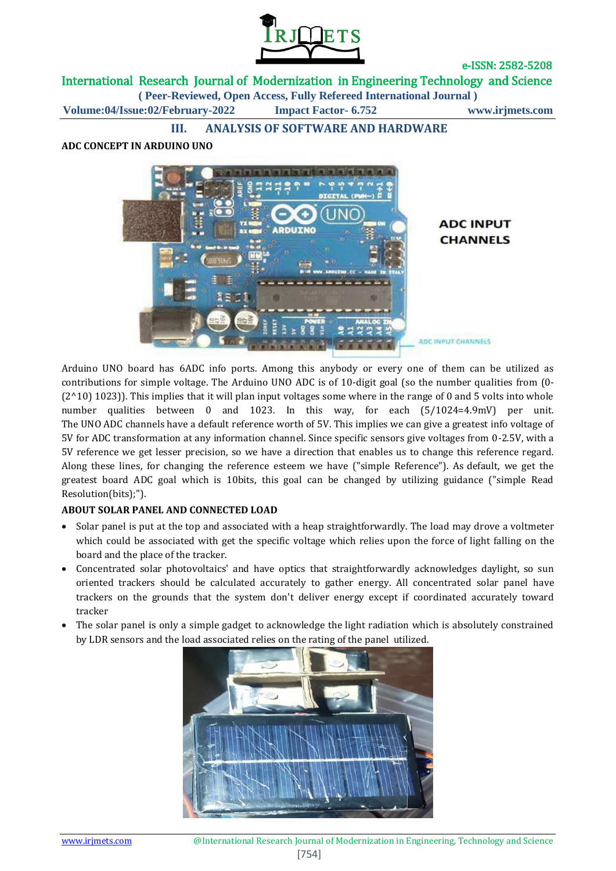

International Research Journal of Modernization in Engineering Technology and Science

**( Peer-Reviewed, Open Access, Fully Refereed International Journal )**

**Volume:04/Issue:02/February-2022 Impact Factor- 6.752 www.irjmets.com**

**III. ANALYSIS OF SOFTWARE AND HARDWARE**

#### **ADC CONCEPT IN ARDUINO UNO**



Arduino UNO board has 6ADC info ports. Among this anybody or every one of them can be utilized as contributions for simple voltage. The Arduino UNO ADC is of 10-digit goal (so the number qualities from (0-  $(2^{\wedge}10)$  1023)). This implies that it will plan input voltages some where in the range of 0 and 5 volts into whole number qualities between 0 and 1023. In this way, for each (5/1024=4.9mV) per unit. The UNO ADC channels have a default reference worth of 5V. This implies we can give a greatest info voltage of 5V for ADC transformation at any information channel. Since specific sensors give voltages from 0-2.5V, with a 5V reference we get lesser precision, so we have a direction that enables us to change this reference regard. Along these lines, for changing the reference esteem we have ("simple Reference"). As default, we get the greatest board ADC goal which is 10bits, this goal can be changed by utilizing guidance ("simple Read Resolution(bits);").

#### **ABOUT SOLAR PANEL AND CONNECTED LOAD**

- Solar panel is put at the top and associated with a heap straightforwardly. The load may drove a voltmeter which could be associated with get the specific voltage which relies upon the force of light falling on the board and the place of the tracker.
- Concentrated solar photovoltaics' and have optics that straightforwardly acknowledges daylight, so sun oriented trackers should be calculated accurately to gather energy. All concentrated solar panel have trackers on the grounds that the system don't deliver energy except if coordinated accurately toward tracker
- The solar panel is only a simple gadget to acknowledge the light radiation which is absolutely constrained by LDR sensors and the load associated relies on the rating of the panel utilized.

![](_page_3_Picture_13.jpeg)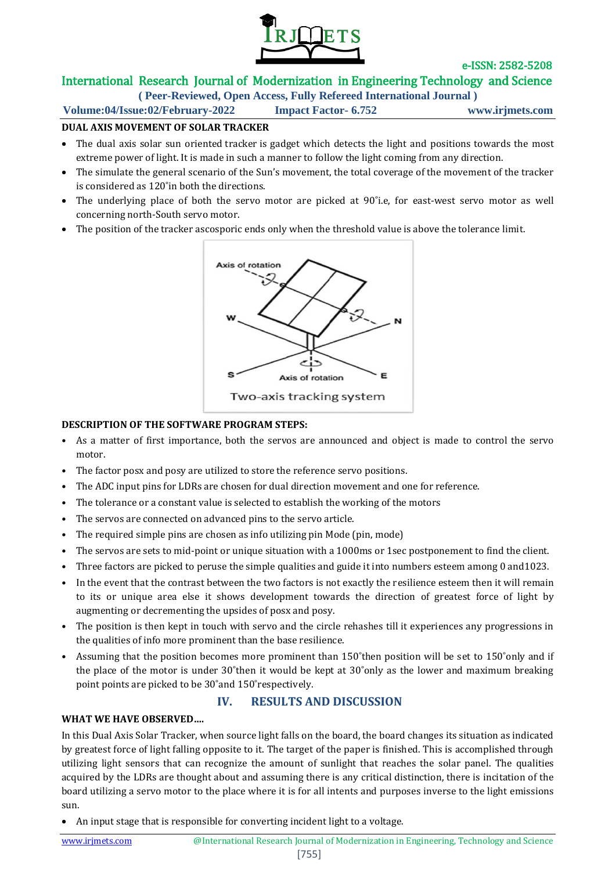![](_page_4_Picture_0.jpeg)

# International Research Journal of Modernization in Engineering Technology and Science

**( Peer-Reviewed, Open Access, Fully Refereed International Journal )**

**Volume:04/Issue:02/February-2022 Impact Factor- 6.752 www.irjmets.com**

#### **DUAL AXIS MOVEMENT OF SOLAR TRACKER**

- The dual axis solar sun oriented tracker is gadget which detects the light and positions towards the most extreme power of light. It is made in such a manner to follow the light coming from any direction.
- The simulate the general scenario of the Sun's movement, the total coverage of the movement of the tracker is considered as 120˚in both the directions.
- The underlying place of both the servo motor are picked at 90°i.e, for east-west servo motor as well concerning north-South servo motor.
- The position of the tracker ascosporic ends only when the threshold value is above the tolerance limit.

![](_page_4_Figure_11.jpeg)

#### **DESCRIPTION OF THE SOFTWARE PROGRAM STEPS:**

- As a matter of first importance, both the servos are announced and object is made to control the servo motor.
- The factor posx and posy are utilized to store the reference servo positions.
- The ADC input pins for LDRs are chosen for dual direction movement and one for reference.
- The tolerance or a constant value is selected to establish the working of the motors
- The servos are connected on advanced pins to the servo article.
- The required simple pins are chosen as info utilizing pin Mode (pin, mode)
- The servos are sets to mid-point or unique situation with a 1000ms or 1sec postponement to find the client.
- Three factors are picked to peruse the simple qualities and guide it into numbers esteem among 0 and1023.
- In the event that the contrast between the two factors is not exactly the resilience esteem then it will remain to its or unique area else it shows development towards the direction of greatest force of light by augmenting or decrementing the upsides of posx and posy.
- The position is then kept in touch with servo and the circle rehashes till it experiences any progressions in the qualities of info more prominent than the base resilience.
- Assuming that the position becomes more prominent than 150°then position will be set to 150°only and if the place of the motor is under 30˚then it would be kept at 30˚only as the lower and maximum breaking point points are picked to be 30˚and 150˚respectively.

### **IV. RESULTS AND DISCUSSION**

#### **WHAT WE HAVE OBSERVED….**

In this Dual Axis Solar Tracker, when source light falls on the board, the board changes its situation as indicated by greatest force of light falling opposite to it. The target of the paper is finished. This is accomplished through utilizing light sensors that can recognize the amount of sunlight that reaches the solar panel. The qualities acquired by the LDRs are thought about and assuming there is any critical distinction, there is incitation of the board utilizing a servo motor to the place where it is for all intents and purposes inverse to the light emissions sun.

An input stage that is responsible for converting incident light to a voltage.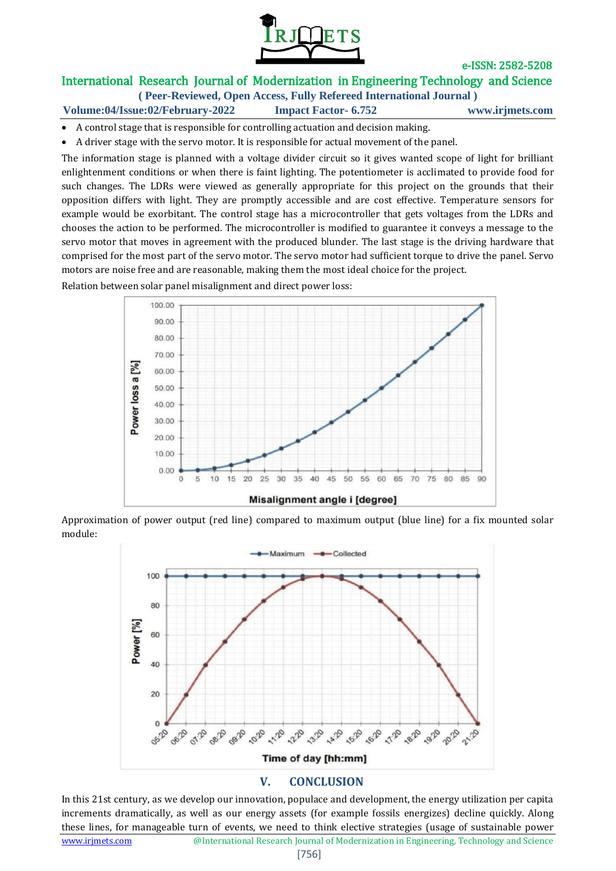![](_page_5_Picture_0.jpeg)

# International Research Journal of Modernization in Engineering Technology and Science

**( Peer-Reviewed, Open Access, Fully Refereed International Journal )**

**Volume:04/Issue:02/February-2022 Impact Factor- 6.752 www.irjmets.com**

- A control stage that is responsible for controlling actuation and decision making.
- A driver stage with the servo motor. It is responsible for actual movement of the panel.

The information stage is planned with a voltage divider circuit so it gives wanted scope of light for brilliant enlightenment conditions or when there is faint lighting. The potentiometer is acclimated to provide food for such changes. The LDRs were viewed as generally appropriate for this project on the grounds that their opposition differs with light. They are promptly accessible and are cost effective. Temperature sensors for example would be exorbitant. The control stage has a microcontroller that gets voltages from the LDRs and chooses the action to be performed. The microcontroller is modified to guarantee it conveys a message to the servo motor that moves in agreement with the produced blunder. The last stage is the driving hardware that comprised for the most part of the servo motor. The servo motor had sufficient torque to drive the panel. Servo motors are noise free and are reasonable, making them the most ideal choice for the project.

Relation between solar panel misalignment and direct power loss:

![](_page_5_Figure_9.jpeg)

Approximation of power output (red line) compared to maximum output (blue line) for a fix mounted solar module:

![](_page_5_Figure_11.jpeg)

### **V. CONCLUSION**

In this 21st century, as we develop our innovation, populace and development, the energy utilization per capita increments dramatically, as well as our energy assets (for example fossils energizes) decline quickly. Along these lines, for manageable turn of events, we need to think elective strategies (usage of sustainable power